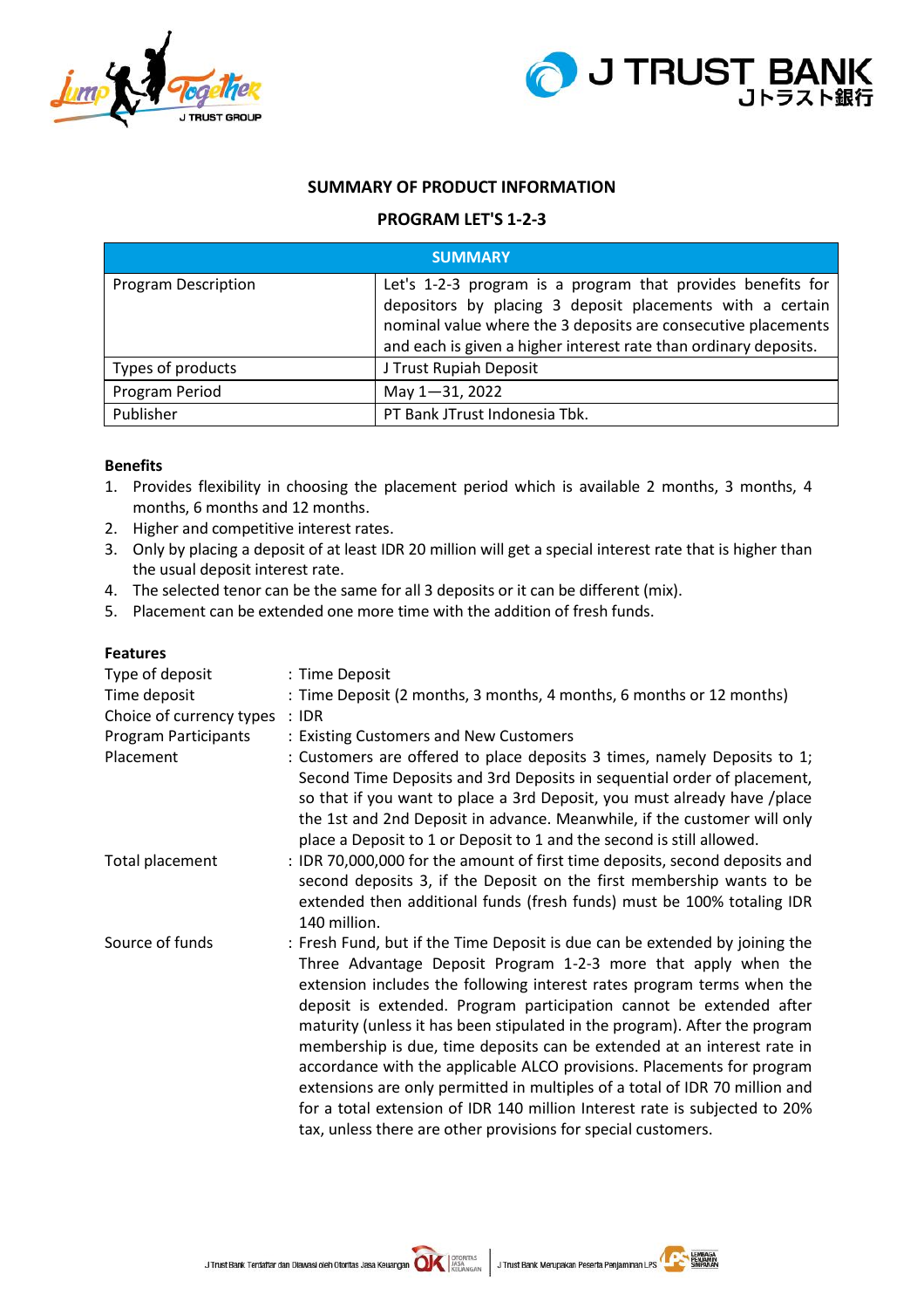



# **SUMMARY OF PRODUCT INFORMATION**

# **PROGRAM LET'S 1-2-3**

| <b>SUMMARY</b>             |                                                                                                                                                                                                                                                               |  |  |
|----------------------------|---------------------------------------------------------------------------------------------------------------------------------------------------------------------------------------------------------------------------------------------------------------|--|--|
| <b>Program Description</b> | Let's 1-2-3 program is a program that provides benefits for<br>depositors by placing 3 deposit placements with a certain<br>nominal value where the 3 deposits are consecutive placements<br>and each is given a higher interest rate than ordinary deposits. |  |  |
| Types of products          | J Trust Rupiah Deposit                                                                                                                                                                                                                                        |  |  |
| Program Period             | May 1-31, 2022                                                                                                                                                                                                                                                |  |  |
| Publisher                  | PT Bank JTrust Indonesia Tbk.                                                                                                                                                                                                                                 |  |  |

#### **Benefits**

- 1. Provides flexibility in choosing the placement period which is available 2 months, 3 months, 4 months, 6 months and 12 months.
- 2. Higher and competitive interest rates.
- 3. Only by placing a deposit of at least IDR 20 million will get a special interest rate that is higher than the usual deposit interest rate.
- 4. The selected tenor can be the same for all 3 deposits or it can be different (mix).
- 5. Placement can be extended one more time with the addition of fresh funds.

## **Features**

| Type of deposit          | : Time Deposit                                                                                                                                                                                                                                                                                                                                                                                                                                                                                                                                                                                                                                                                                                                                                  |
|--------------------------|-----------------------------------------------------------------------------------------------------------------------------------------------------------------------------------------------------------------------------------------------------------------------------------------------------------------------------------------------------------------------------------------------------------------------------------------------------------------------------------------------------------------------------------------------------------------------------------------------------------------------------------------------------------------------------------------------------------------------------------------------------------------|
| Time deposit             | : Time Deposit (2 months, 3 months, 4 months, 6 months or 12 months)                                                                                                                                                                                                                                                                                                                                                                                                                                                                                                                                                                                                                                                                                            |
| Choice of currency types | $\therefore$ IDR                                                                                                                                                                                                                                                                                                                                                                                                                                                                                                                                                                                                                                                                                                                                                |
| Program Participants     | : Existing Customers and New Customers                                                                                                                                                                                                                                                                                                                                                                                                                                                                                                                                                                                                                                                                                                                          |
| Placement                | : Customers are offered to place deposits 3 times, namely Deposits to 1;<br>Second Time Deposits and 3rd Deposits in sequential order of placement,<br>so that if you want to place a 3rd Deposit, you must already have / place<br>the 1st and 2nd Deposit in advance. Meanwhile, if the customer will only<br>place a Deposit to 1 or Deposit to 1 and the second is still allowed.                                                                                                                                                                                                                                                                                                                                                                           |
| Total placement          | : IDR 70,000,000 for the amount of first time deposits, second deposits and<br>second deposits 3, if the Deposit on the first membership wants to be<br>extended then additional funds (fresh funds) must be 100% totaling IDR<br>140 million.                                                                                                                                                                                                                                                                                                                                                                                                                                                                                                                  |
| Source of funds          | : Fresh Fund, but if the Time Deposit is due can be extended by joining the<br>Three Advantage Deposit Program 1-2-3 more that apply when the<br>extension includes the following interest rates program terms when the<br>deposit is extended. Program participation cannot be extended after<br>maturity (unless it has been stipulated in the program). After the program<br>membership is due, time deposits can be extended at an interest rate in<br>accordance with the applicable ALCO provisions. Placements for program<br>extensions are only permitted in multiples of a total of IDR 70 million and<br>for a total extension of IDR 140 million Interest rate is subjected to 20%<br>tax, unless there are other provisions for special customers. |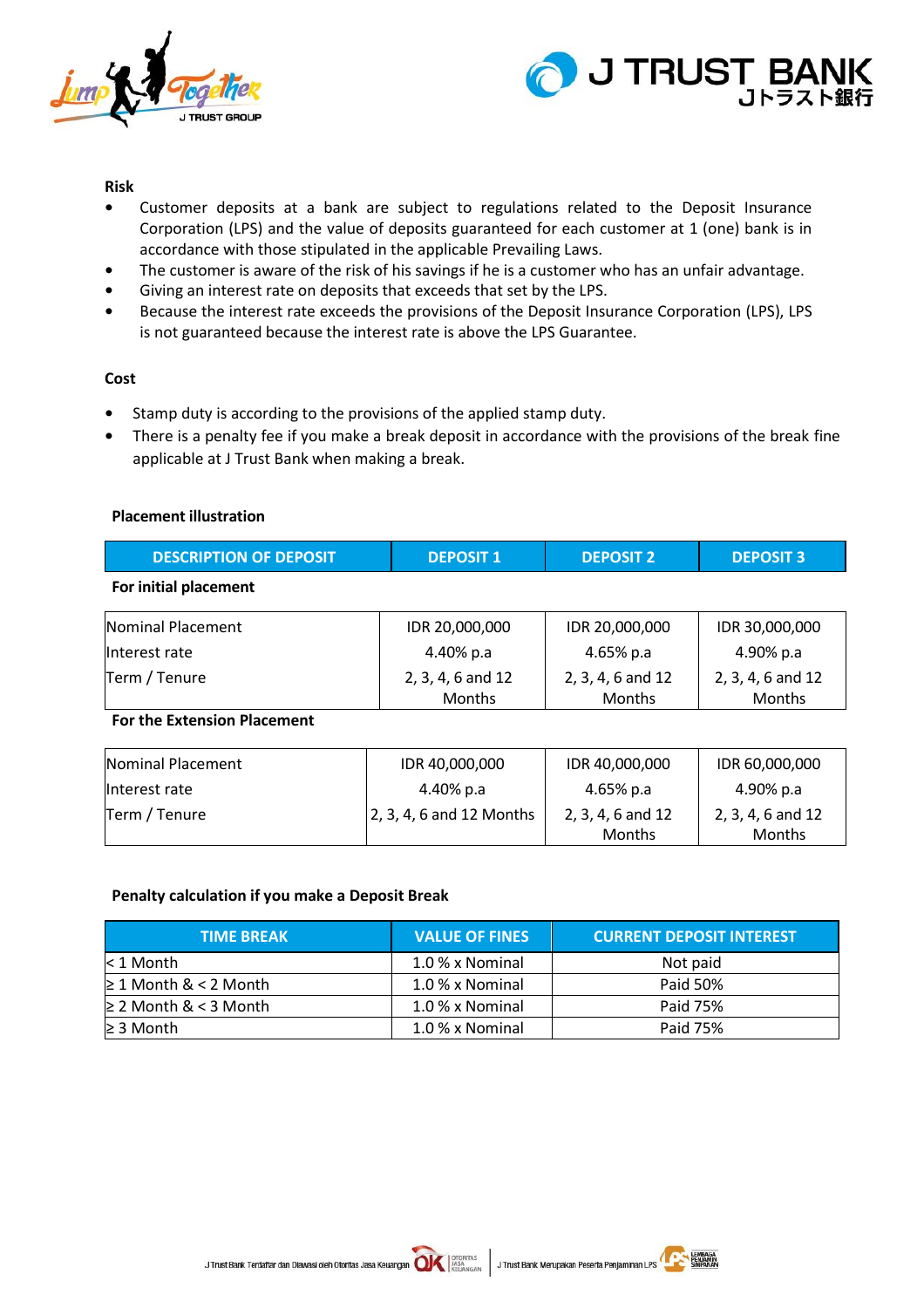



## **Risk**

- **•** Customer deposits at a bank are subject to regulations related to the Deposit Insurance Corporation (LPS) and the value of deposits guaranteed for each customer at 1 (one) bank is in accordance with those stipulated in the applicable Prevailing Laws.
- **•** The customer is aware of the risk of his savings if he is a customer who has an unfair advantage.
- **•** Giving an interest rate on deposits that exceeds that set by the LPS.
- **•** Because the interest rate exceeds the provisions of the Deposit Insurance Corporation (LPS), LPS is not guaranteed because the interest rate is above the LPS Guarantee.

# **Cost**

- **•** Stamp duty is according to the provisions of the applied stamp duty.
- **•** There is a penalty fee if you make a break deposit in accordance with the provisions of the break fine applicable at J Trust Bank when making a break.

#### **Placement illustration**

| <b>DESCRIPTION OF DEPOSIT</b>      | <b>DEPOSIT 1</b>                   | <b>DEPOSIT 2</b>            | <b>DEPOSIT 3</b>            |
|------------------------------------|------------------------------------|-----------------------------|-----------------------------|
| For initial placement              |                                    |                             |                             |
| Nominal Placement                  | IDR 20,000,000                     | IDR 20,000,000              | IDR 30,000,000              |
| llnterest rate                     | 4.40% p.a                          | 4.65% p.a                   | 4.90% p.a                   |
| Term / Tenure                      | 2, 3, 4, 6 and 12<br><b>Months</b> | 2, 3, 4, 6 and 12<br>Months | 2, 3, 4, 6 and 12<br>Months |
| <b>For the Extension Placement</b> |                                    |                             |                             |
| Nominal Placement                  | IDR 40,000,000                     | IDR 40,000,000              | IDR 60,000,000              |
| Interest rate                      | 4.40% p.a                          | 4.65% p.a                   | 4.90% p.a                   |
| Term / Tenure                      | 2, 3, 4, 6 and 12 Months           | 2, 3, 4, 6 and 12<br>Months | 2, 3, 4, 6 and 12<br>Months |

# **Penalty calculation if you make a Deposit Break**

| <b>TIME BREAK</b>          | <b>VALUE OF FINES</b> | <b>CURRENT DEPOSIT INTEREST</b> |
|----------------------------|-----------------------|---------------------------------|
| $<$ 1 Month                | 1.0 % x Nominal       | Not paid                        |
| $\geq 1$ Month & < 2 Month | 1.0 % x Nominal       | Paid 50%                        |
| $\geq$ 2 Month & < 3 Month | 1.0 % x Nominal       | Paid 75%                        |
| $\geq$ 3 Month             | 1.0 % x Nominal       | Paid 75%                        |